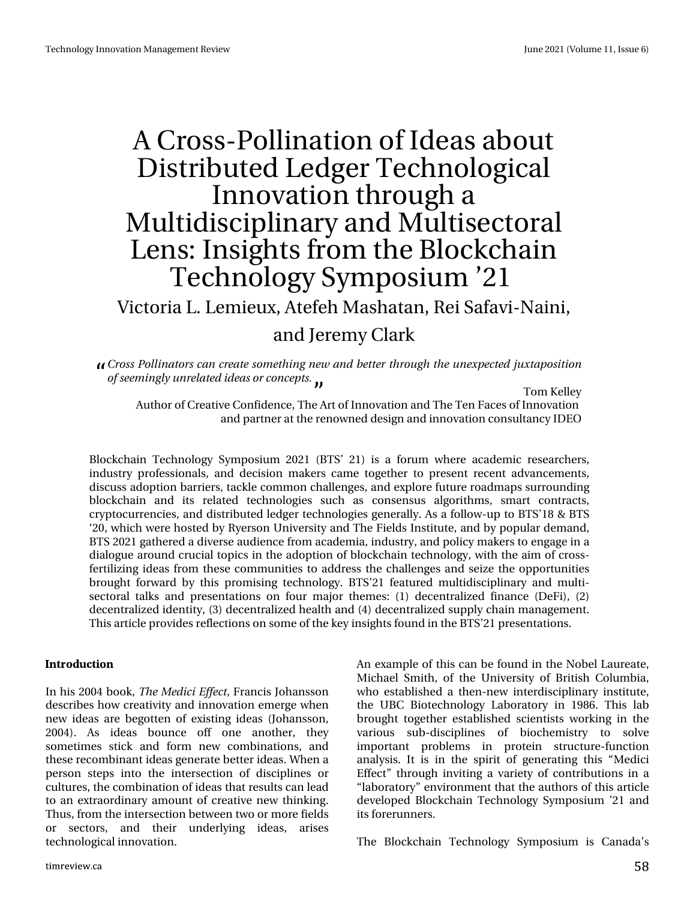# DFurwOSrood godwr grilghd vderxw Glwulexwhg Chgj hu Whf kqr o j If do Lgqr ydwr q wkur xj k d P x awglvf Is dqdu dqg P x awnf w udo Chqv=Lqvljkwiurp wkh Eart nfkdlq Whikarorll Vipsrvlxp 54

## Ylf wud O1 Chp Ihx {/ Dwhihk P dvk dwdg/ Uhl Vdidyl 0Q dlgl/

## $d$ gg Muhp | Fordun

Dsptt Qommobupst doodsfbuftpn fuijoh ofx boe cfuufs uispyhiu f vofyqfdufe kvyubqptjujpo patffnjohma vosfrbufejefbt psobodfqut/

Wip Nhouh| Dxwkruri Fuhdwlyh Frqilghqfh/Wkh Duwri Lqqrydwlrqdqg Wkh Whq Idfhvri Lqqrydwlrq dqg sduwqhudwwkh uhqrzqhg ghvljqdqglqqrydwrqfrqvxowdqf | LGHR

Eorfnfkdlq Whfkqrorj| V|p srvlxp 5354 +EWV+ 54, Iv d iruxp z khuh dfdghp If uhvhdufkhuv/ lggxwul surihwlrgdow dgg ghflvlrg p dnhw fdp h wrjhwkhu w suhvhgwuhfhgwdgydgfhphgww glvfxw dgrswlrqeduulhuv/wdfnoh frpprqfkdochqjhv/dqgh{soruhixwsuhurdgpdsvvxuurxqglqj eorfnfkdlq dqq lwy uhodwhq whfkqrorjlhv vxfk dv frqvhqvxv dojrulwkp v/vpduw frqwudfwv/ ful swrfxuuhqflhv/dqqqlvwulexwhq ohqihuwhfkqrorjlhv jhqhudool 1 Dv diroorz 0 x swr EWM+4; ) EWM "53/zklfk zhuh krwhaqe|U|huvrq Xqlyhuvlw|dqq Wkhllhoqy Lqwlwxwh/dqqe|srsxodu.ghpdqq/ EWV 5354 j dwkhuhg d glyhwh dxglhqfh iur p dfdghp ld/lqgxwwd / dqg sroff p dnhu wr hqj dj h lq d gldorjxh durxqg fuxfldowrslfvlq wkh dgrswlrq rieorfnfkdlq whfkqrorj|/zlwk wkh dlp rifurw0 ihuwlo}lqj lghdviurp wkhvh frppxqlwlhvwr dgguhvv wkh fkdochqjhv dqg vhl}h wkh rssruwxqlwlhv eurxjkwiruzduge| wklvsurplvlqj whfkqrorj|1EWV=54 ihdwxuhgpxowlglvflsdqdu| dqgpxowl0 whit writed when very digg subvham with a view p draw with  $p \rightarrow 4$ , ghit have digited in  $\sim 5$ . ghf hqwdd}hg Ighqwly/+6, ghf hqwdd}hg khdowk dqg +7, ghf hqwdd}hg vxssol f kdlq p dqdj hp hqwl Wikly duw'f oh surylghy uhidnfwlr qyrg yrphriwkh nh|lgyljk wy ir x q glq wkh EWV=54 suhyhq wdw'r qy1

#### 0531&6%540

Lq klv 5337 er r n/ Uif Nfejdj Fggfdu/Iudqflv Mikdq wr q ghvfulehv krz fuhdwlylw|dqglqqrydwlrqhphujhzkhq qhz Ighdv duh ehjrwhq ri h{Ivwlqj Ighdv +Mkdqvvrq/ 5337,1 Dv Ighdv erxqfh rii rqh dqrwkhu' wkh| vrp hwlp hv wwfn dag irup ghz frpelgdwlrgw dag wkhvh uhf r p elqdqwlghdv j hqhudwh ehwhulghdv1Z khq d shuvrg whey lgwr wkh lgwhuwhfwlrg riglyflsdghy ru f x own uhv/wkh f r p elqdwir q r ilghdv wkdwuhvx ow f dq ohdg w da h{wudrugladu| dprxawrifuhdwlyh ahz wklanlaj1 Wkxv/iurp wkhlqwhuwhfwlrqehwzhhqwzrrupruhilhogy ru vhfwruw/ dqg wkhlu xqghuolqj lghdv/ dulvhv whf kqr or j If dolqqr ydwlr q1

Dq h{dp soh rivklv fdq eh ir xqq lq wkh Qreho Odxuhdwh/ Plfkdho Vplwk/riwkh Xqlyhuvlw|riEulwhk Froxpeld/ zkr hwoded vkhg dwkhq Oqhz lqwhuglvflsd qdu| lqwww.wh/ wkh XEF Elrwhfkqrorj| Oderudwru| lq 4<;91 Wklv ode eurxjkwwrjhwkhu hwodedvkhg vflhqwlww zrunlqjlq wkh ydulrxv vxe0glvflsdqhv ri elrfkhplvwu| wr vroyh lpsruwdqw sureohpv lq surwhlq www.fwxuh0ixqfwlrq dqdqvlv1 Lwlvlq wkh vslulwri jhqhudwlqj wklv - Phglfl Hiihfw—wkurxjk lqylwlqjdydulhwlrifrqwulexwlrqvlqd -oderudwru| --hqylurqphqwwkdwwkhdxwkruvriwklvduwlfoh ghyhorshg Eorfnfkdlg Whfkgroril Vipsrvlxp •54 dgg Iwir uhux qqhuv1

With Earfnfkdlq Whfkqrarj| V|psrvlxp Iv Fdqdgdw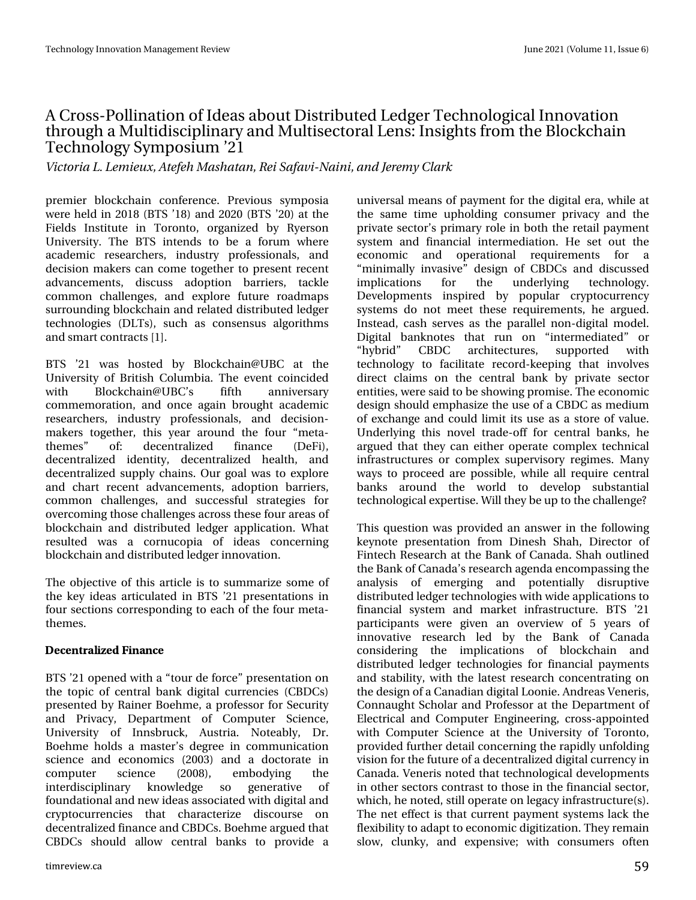### DFurw0Srodgdwlr g r i Lghdv der xwGlwwlexwhg Chgj huWhfkgrorj lfdoLggrydwlrg when x j k d P x owlglvf lsold qdd ddg P x owl whf wr udo Ohqv=Lqvlj kw iur p wkh Eor f nf kdlq Whf kqr  $\sigma$  j | V| p sr vlxp  $\bullet$ 54

Wjdupsjb M/ Min jf vy-Buf gfi N bti bubo-Sfj Tbgbwj. Objoj-boe Kf sfin z Drbsl

suhp lhu eor f nf kdlq fr qihuhqf h1 Suhylr xv v| p sr vld z huh khog  $\lg 534$ ;  $+EWW \cdot 4$ ; dqg 5353  $+EWV \cdot 53$ , dwwkh Ilhogv Lqwlwxwh lq Wrurqwr/ rujdql}hg e| U| huvrq Xqlyhuvlw| 1 Wkh EWV lqwhqgv wr eh d ir uxp z khuh df dghp lf uhvhduf khuv/ lqgxvwu| sur ihvvlr qdov/ dqg ghf lvlr q p dnhuv f dq f r p h wr j hwkhu wr suhvhqwuhf hqw dgydqf hp hqwv/ glvf xw dgr swlr q eduulhuv/ wdf noh f r p p r q f kdoohqj hv/ dqg h{ sor uh ixwxuh ur dgp dsv vxuur xqglqj eor f nf kdlq dqg uhodwhg glvwulexwhg ohgj hu whf kqr or j lhv +GOWv,/ vxf k dv f r qvhqvxv doj r ulwkp v dqg vp duwf r qwudf w  $\gamma$ <sup>1</sup>

EWV •54 z dv kr vwhg e| Eor f nf kdlqCXEF dw wkh Xqlyhuvlw ri Eulwick Fr oxp eld1 Wkh hyhqwfr lqf lghg z lwk Eor f nf kdlqCXEF•v iliwk dqqlyhuvdu| f r p p hp r udwlr q/ dqg r qf h dj dlq eur xj kwdf dghp lf uhvhduf khuv/ lqgxvwu| sur ihvvlr qdov/ dqg ghf lvlr q0 p dnhuv wr j hwkhu/ wklv | hdu dur xqg wkh ir xu –p hwd0 wkhp hv—  $\mathsf{ri} = \mathsf{g}$ hf hqwudol}hg ilqdqf h +GhII,/ ghf hqwudd}hg lghqwlw| ghf hqwudd}hg khdowk/ dqg ghf hqwudd}hg vxsso| f kdlqv1Rxu j r dozdv wr h{sor uh dqg f kduw uhf hqw dgydqf hp hqw/ dgr swlr q eduulhuv/ f r p p r q f k doohqj hv/ dqg vxff hvvixo vwudwhj lhv ir u r yhuf r p lqj wkr vh f kdoohqj hvdf ur vv wkhvh ir xuduhdv r i eor f nf kdlq dqg glvwulexwhg ohgj hu dssolf dwlr q1 Z kdw uhvxowhg z dv d f r uqxf r sld r i lghdv f r qf huqlqj eor f nf kdlq dqg glvwlexwhg ohgi hulqqr ydwr q1

With remhf why h riwkly duwlf oh lv wr vxp p dul}h vrph ri wkh nh| lghdv duwlf xodwhg lq EWV •54 suhvhqwdwlr qv lq ir xuvhfwlr qv fruuhvsr qglqj wr hdfk riwkh ir xup hwd0 wkhp hv1

' %' 053#.+;' & +0#0%'

EWV•54 r shqhg z lwk d –wr xugh ir uf h—suhvhqwdwlr q r q wkh wr slf ri f hqwudoedqn glj lwdof xuuhqf lhv +FEGFv, suhvhqwhg e| Udlqhu Erhkph/d surihvvruiru Vhf xulw| dqg Sulydf | / Ghsduwp hqw ri Frp sxwhu Vflhqfh/ Xqlyhuvlw| ri Lqqveuxfn/ Dxvwuld1 Qrwhdeo|/ Gu1 Er hkp h kr ogv d p dvwhu•v ghj uhh lq f r p p xqlf dwlr q vflhqfh dqg hfrqrplfv +5336, dqg d grfwrudwh lq frp sxwhu vflhqfh  $+533$ ;  $/$  hp ergllgi wkh lqwhuglvflsolqdu| nqrzohgjh vr j hqhudwlyh ri ir xqgdwlr qdodqg qhz lghdvdvvr f ldwhg z lwk glj lwdodqg f u| swr f xuuhqf lhv wkdw f kdudf whul}h glvf r xuvh r q ghf hqwudd}hg ilqdqf hdqg FEGFv1Er hkp hduj xhg wkdw FEGFv vkr xog door z f hqwudo edqnv wr sur ylgh d

xqlyhuvdop hdqv r i sd| p hqwir u wkh glj lwdohud/ z kloh dw wkh vdp h wlp h xskr oglqj f r qvxp hu sulydf | dqg wkh sulydwh vhf wr u•v sulp du| ur oh lq er wk wkh uhwdlosd| p hqw v| vwhp dqg ilqdqf ldo lqwhup hgldwlr q1 Kh vhw r xw wkh hf r qr p lf dqg r shudwlr qdo uht xluhp hqwv ir u d –p lqlp doo| lqydvlyh—ghvlj q r i FEGFv dqg glvf xvvhg lp solf dwlr qv ir u wkh xqghuo| lqj whf kqr or j | 1 Ghyhor sp hqwv lqvsluhg e| sr sxodu f u| swr f xuuhqf | v| vwhp v gr qr w p hhw wkhvh uht xluhp hqwv/ kh duj xhg1 Lqwhdg/f dvk vhuyhv dv wkh sdudoohoqrq0gljlwdoprgho1 Glj lwdo edqnqrwhv wkdw uxq rq -lqwhup hgldwhg-ru –k| eulg— FEGF duf klwhf wxuhv/ vxssr uwhg z lwk whf kqr or j | wr idf lolwdwh uhf r ug0nhhslqj wkdw lqyr oyhv gluhf w f odlp v r q wkh f hqwudo edqn e| sulydwh vhf wr u hqwlwlhv/ z huhvdlg wr ehvkr z lqj sur p lvh1Wkhhf r qr p lf ghvlj q vkr xog hp skdvl}h wkh xvh r i d FEGF dv p hglxp r i h{f kdqjh dqg fr xog olp lwlwy xvh dv d vwr uh ri ydoxh1 Xqghuo| lqj wklv qryho wudgh0rii iru fhqwudo edqnv/kh duj xhg wkdwwkh| f dq hlwkhu r shudwh f r p soh{ whf kqlf do lqiudvwuxf wxuhv r u f r p soh{ vxshuylvr u| uhj lp hv1 P dq| z d| v wr sur f hhg duh sr vvleoh/ z kloh doouht xluh f hqwudo edqnv dur xqg wkh z ruog wr ghyhors vxevwdqwldo whf kqr or j lf doh{ shuwlvh1Z loowkh| ehxs wr wkhf kdoohqj hB

Wklv t xhwlvr q z dv sur ylghg dq dqvz hulq wkh ir oorzlqj nh|qrwh suhvhqwdwlrq iurp Glqhvk Vkdk/Gluhfwru ri I lqwhfk Uhvhdufk dwwkh Edqn ri Fdqdgd1Vkdk rxwolqhg wkh Edqnr i Fdqdgd•vuhvhduf k dj hqgdhqf r p sdvvlqj wkh dqdo| vlv r i hp huj lqj dqg sr whqwldoo| glvuxswlyh glvwulexwhg ohgj huwhf kqr or j lhv z lwk z lghdssolf dwlr qv wr ilqdqf ldo v| vwhp dqg p dunhw lqiudvwuxf wxuh1 EWV •54 sduwlflsdqwy z huh jlyhq dq ryhuylhz ri 8 | hduv ri lqqrydwlyh uhvhdufk ohg e| wkh Edqn ri Fdqdgd f r qvlghulqj wkh lp solf dwlr qv r i eor f nf kdlq dqg glwulexwhg ohgj hu whf kqr or j lhv ir u ilqdqfldosd|p hqwv dqg wdeldwy/z lwk wkh odwhwuhvhdufk frqfhqwudwlqj rq wkhghvlj q r i d Fdqdgldq glj lwdoOr r qlh1Dqguhdv Yhqhulv/ Fr qqdxj kwVf kr odudqg Sur ihvvr udwwkh Ghsduwp hqwr i Hohf wulf do dqg Fr p sxwhu Hqj lqhhulqj / f ur vv0dssr lqwhg z lwk Frp sxwhu Vflhqfh dw wkh Xqlyhuvlw| ri Wrurqwr/ sur ylghg ixuwkhughwdlof r qf huqlqj wkh udslgo| xqir oglqj ylvlr q ir uwkhixwxuhr i dghf hqwudol}hg glj lwdof xuuhqf | lq Fdqdgd1Yhqhulv qr whg wkdwwhfkqr or j lfdoghyhorsphqw lq r wkhuvhf wr uv f r qwudvwwr wkr vh lq wkh ilqdqf ldovhf wr u/ z klf k/ kh qr whg/ vwloor shudwh r q ohj df | lqiudvwuxf wxuh+v,1 Wkh qhwhiihf wlv wkdwf xuuhqwsd| p hqwv| vwhp v odf n wkh ioh{lelolw| wr dgdswwr hfr qr p lf glj lwl}dwlr q1Wkh| uhp dlq vor z / f oxqn| / dqg h{ shqvlyh> z lwk f r qvxp huv r iwhq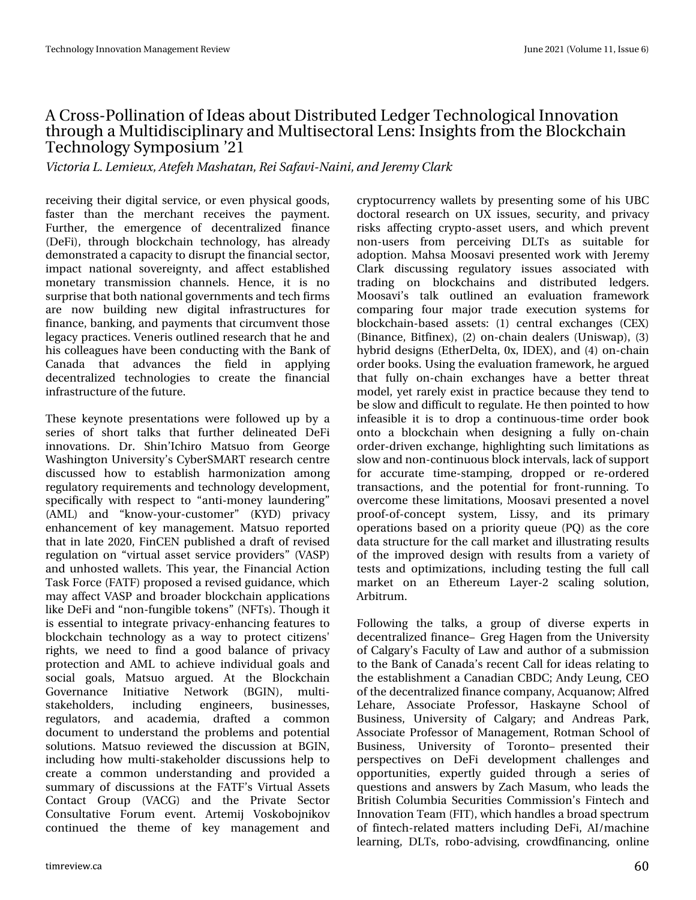### DFurwGSrodgdwlrg rilghdvderxwGlwwlexwhg ChgihuWhfkgrorilfdolggrydwlrg wkurxjkdPxowlglvflsoloiduldggPxowlvhfwrudoOngv=LqvljkwriurpwkhEorfnfkdlg Whikqrorj |  $\forall$  p srvlxp  $\bullet$ 54

Wdpsib MMn jfvy-Bufgi Nbti bubo-Sfj Tbgbwj. Objoj-boe Kfsn z Drbsl

uhfhlylgi wkhlu glilwdo vhuylfh/ru hyhg skl vlfdo jrrgy/ idwhu wkdq wkh phufkdqw uhfhlyhv wkh sd|phqwl Ixuwkhu/ wkh hphyihqfh ri ghfhqwudd}hg ilqdqfh +Ghll, wkurxjk eorfnfkdlq whfkqrorj|/kdvdouhdg| ghprqwudwhgdfdsdflw|wrglvuxswwkhilqdqfldovhfwru/ Ip sdf w qdwr qdo vr yhuhlj qw/ dqg diihf w hwded vkhg prqhwdu| wudqvplwlrq fkdqqhov1 Khqfh/lwlv qr yxusulvh wkdwerwk gdwhr gdojryhugphgwrdgg whfkilup y duh qrz exloglqj qhz gljlwdo lqiudwuxfwxuhv iru ilgdgfh/edgnlgj/dggsd|phgwwkdwflufxpyhgwwkryh ohj df | sudf wf hv1 Yhq hulv r xwolq hg uhvhdufk wkdwkh dqg klv frochdjxhv kdyh ehhq frqgxfwlqjzlwk wkh Edqn ri Fdqdgd wkdw dgydqfhv wkh ilhog lq dssqllqj ghfhqwudd}hg whfkqrorjlhv wr fuhdwh wkh ilqdqfldo Igiud wuxfw.uhriwkhixw.uh1

With what his ching work when we have the with the with the With what we have the with the with the with the with the with the with the with the with the with the with the with the with the with the with the with the with vhulhv ri vkruw wdony wkdw ixuwkhu gholqhdwhg Ghll lggrydwrgy1 Gu1 Vklg•Lfklur Pdwxr iurp Jhruih Z dvklqj wrq Xqlyhuvlw| •v F| ehuVP DUWuhvhdufk fhqwuh glvfxwhg krz wr hwodedyk kdupral}dwlra dpraj uhj xodwr u| uht xluhp hqwr dqg whf kqror j | ghyhor sp hqwl vshflilfdool zlwk uhvshfwwr -dqwlQprqh| odxqqhulqj — +DPQ dqg --nqrz0|rxu0fxwwrphu--- +N\G, sulydf| hqkdqfhp hqwrinh| p dqdjhp hqwl P dww.r uhsruwhg wkdwlq odwh 5353/IlqFHQ sxedvkhg d gudiwri uhylvhg uhj xodwlrq rq -yluwxdodwhwvhuylfh surylghuv-YDVS, dqg xqkrwhg z dochwr1 Wklv | hdu'wkh Ilqdqfldo Dfwlrq Wobin I ruf h + DW, sur sr vhg d uhylvhg j xlgdqf h/z klf k pd dihfwYDVS dag eurdghue or fnfkdla dssolfdwr gv dnh Ghl I dqg -qrq0xqj led wrnhqv--QIW,1Wkrxjklw Iv hwhqwdowr Iqwhiudwh sulydf Ohqkdqflqi ihdwsuhvwr eorfnfkdlq whfkqrorj| dv d z d| wr surwhfw flwl}hqv\* uljkw/zh qhhg wrilqg djrrg edodqfh ri sulydf| sur whfwlrg dgg DP O wr dfklhyh lgglylgxdo i rdov dgg vrfldo jrdov/ Pdwxr dujxhg1 Dw wkh Eorfnfkdlq Jryhuqdqfh Lqlwldwlyh Qhwzrun +EJLQ,/ pxowl0 wodnhkroghuv/ lqf oxglqj hqj Iqhhuv/ exvighwhy/ uhjxodwruw/ dqg dfdghpld/gudiwhg d frpprq grfxphqwwr xqghuwddqg wkh surednp v dqg srwhqwldo vroxwtrqv1Pdwxr uhylhzhq wkh glvfxwlrq dwEJLQ/ lqfoxglqj krz pxowlOwdnhkroghuglvfxwlrqvkhoswr fuhdwh d frpprq xqghuwdqglqj dqg surylghg d vxp p du riglvfxwlrqv dwwkh IDW w Yluws do Dwhw Frqwdfw Jurxs +YDFJ, dqg wkh Sulydwh Vhfwru Frgyxovalylyh Iruxp hyhqval Duwhp Im Yrvnrermginry frqwlqxhg wkh wkhph ri nh| pdqdjhphqw dqg

fulswrfxuuhqf| zdoohwre| suhvhqwlqj vrphriklv XEF grfwrudouhyhdufk rg X[lwxhv/vhfxulw|/dgg sulydf| ulvny diihfwlgj fulswr0dvyhwxyhuv/dgg zklfk suhyhgw qrq0xvhuv iurp shufhlylqj GOW dv vxlwdedn iru dgrswlrq1PdkvdPrrvdylsuhvhqwhgzrunzlwkMhuhp| Fodun glvfxvvlqj uhjxodwru| lvvxhv dvvrfldwhg zlwk wudglqj rq eorfnfkdlqv dqg glvwulexwhg ohgjhuv1 Prrvdylov wdon rxwolqhg dq hydoxdwlrq iudphzrun frpsdulqj irxu pdmu wudgh h{hfxwlrq v|wwhpv iru eor f nf k dl q  $0$ edvhg dwhw =  $+4$ , f h q w do h { f k d q j h  $\mathsf{u}$  +  $\mathsf{F}$  H  $\mathsf{f}$  , +Elqdqf h/Elwiqh{,/+5, rq0f kdlq ghdohuv +Xqlvz ds,/+6, k|eugghvljqv+HwkhuGhowd/3{/LGH[,/dqg+7,rq0fkdlq rughuerrnv1Xvlgjwkh hydoxdwlrgiudphzrun/kh dujxhg wkdwixool rq0fkdlq h{fkdqjhv kdyh d ehwwhu wkuhdw prgho/|hwuduho|h{lwwlqsudfwlfhehfdxvhwkh|whqgwr eh vorz dąg gliilfxowwr uhjxodwh1Kh wkhą srląwhg wr krz lqihdvledn lwlv wr gurs d frqwlqxrxv0wlph rughu errn rqwr d eorfnfkdlq zkhq ghvljqlqj d ixoo| rqOfkdlq rughu0gulyhq h{fkdqjh/kljkdjkwlqjvxfk olplwdwlrqvdv vorz dąg qrąCfrąwląxrxveorfnląwhuydov/odfnrivxssruw iru dffxudwh wlph0wdpslqi/gursshg ru uh0rughuhg wudqvdfwlrqv/dqg wkh srwhqwldoiru iurqw0uxqqlqj1Wf ryhufrph wkhvh olp lwdwlrqv/Prrvdylsuhvhqwhgdqryho surri0ri0frqfhsw v|whp/ Qw|/ dqg lww sulpdu| rshudwhrqvedvhgrqdsulrulw|txhxh+ST,dvwkhfruh gdwd wuxfwxuh iru wkh fdoop dunhwdgg looxwudwlgjuh vxow riwkh Ipsuryhg ghvljq zlwk uhvxowriurp dydulhw|ri whww dqg rswlpl}dwlrqv/lqfoxglqj whw.lqj wkhixoo.fdoo pdunhwrg dg Hwkhuhxp Od|hu05 vfdolgj vroxwlrg/ Duelww.p 1

lroorzlqj wkh wdony/d jurxs ri glyhuwh h{shuwy lq ghfhqwudd}hg ilqdqfhš Juhj Kdjhq iurp wkh Xqlyhuvlw| ri Fdojdu|∾vldfxow|riOdz dqgdxwkrurid vxeplvvlrq wr wkh Edgn ri Fdgdgd•v uhfhgw Fdooirulghdy uhodwlgj wr wkh hwoded wkp hawd Fdgdgldg FEGF>Dgg| Chxgj/FHR riwkh ghfhqwudol}hgilqdqfhfrpsdq|/Dftxdqrz>Doiuhg Ohkduh/ Dwrfldwh Surihwru/ Kdvnd|qh Vfkrro ri Exvighw/ Xqlyhuvlw ri Fdg du > dqg Dqguhdv Sdun/ Dwrfldwh Surihwru ri P dqdjhp hqw/ Urwp dq Vfkrrori Exvighw/ Xglyhuvlw| ri Wrurgwršsuhvhgwhg wkhlu shuvshfwlyhv rq Ghll ghyhorsphqw fkdoohqjhv dqg rssruwxqlwlhv/h{shuwo| jxlghg wkurxjk d vhulhv ri txhwwrqvdqgdqvzhuve|]dfk Pdvxp/zkrohdgvwkh Euwwk Froxpeld Vhfxulwhv Frpplwlrq •v Ilqwhfk dqg Lagrydwirg Whdp + LW / z klfk kdggdnydeurdg yshfwuxp ri ilgwhfk0uhodwhg pdwwhuvlqfoxglqj Ghll/DL2pdfklqh dnduqlqj/GOW/urer0dgylvlqj/furzgilqdqflqj/rqdqh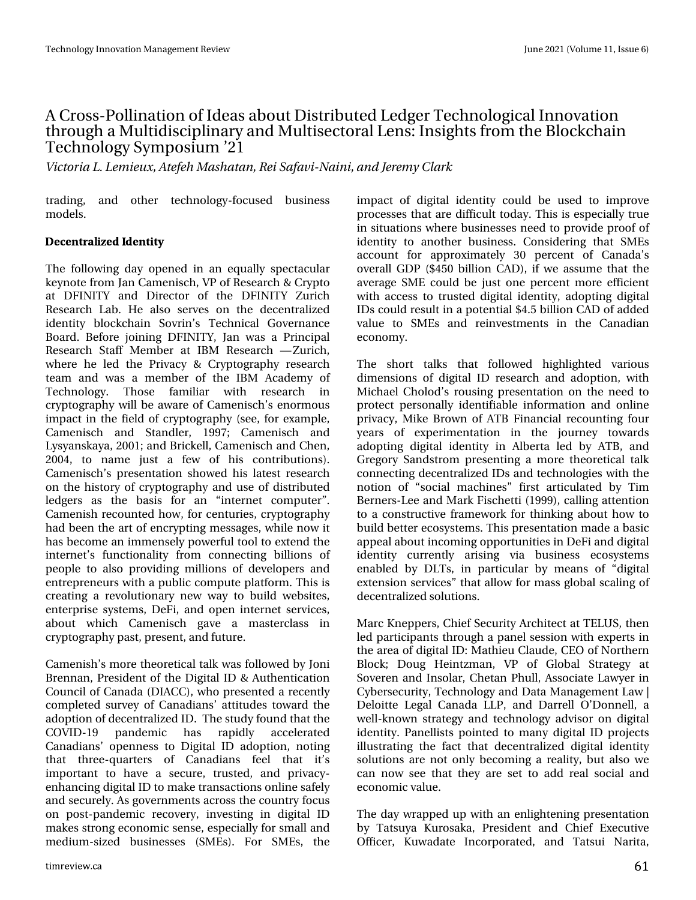### DFurwGSrodgdwlrg rilghdvderxwGlwwlexwhg ChgihuWhfkgrorilfdolggrydwlrg wkur x j k d P x owlglvflsdqduldgg P x owl h fwrudo Chqv=Lqvljkw iur p wkh Earfnfkdlg Whikqrorj |  $\vee$  p srvlxp  $\bullet$ 54

Wdpsib MMn jfvy-Bufgi Nbti bubo-Sfj Tbgbwj. Objoj-boe Kfsn z Drbsl

wudglqj/ dqg rwkhu whfkqrorj|0irfxvhg exvlqhvv  $p$  r gho/1

'%053#.+,'& &'05+5

With iroorzlqj gd| rshqhg lq dq htxdoo| vshfwdfxodu nh|qrwhiurp Mdq Fdphqlvfk/YSriUhvhdufk) Fu|swr dw GILQLWY dog Gluhfwru ri wkh GILQLWY ]xulfk Uhvhdufk Ode1 Kh dovr vhuyhv rq vkh ghfhqwudd}hg lghqwwy eorfnfkdlq Vryulqw Whfkqlfdo Jryhuqdqfh Erdug1 Ehiruh miqlqj GILQLWI/Miq zdv d Sulqfisdo Uhvhdufk Wodii Php ehu dw LEP Uhvhdufk ™] xulfk/ zkhuh kh ohg wkh Sulydf| ) Fujswrjudsk| uhvhdufk wholp dqg z dv d p hp ehu ri wkh LEP Dfdghp | ri Whikqrorj|1 Wkrvh idploidu zlwk uhvhdufk lq fujswrjudsk | zloo eh dzduh ri Fdphqlvfk •v hqruprxv lp sdfwlq wkh ilhog rifu|swrjudsk| +whh/iruh{dp soh/ Fdp hqlvfk dqg Wodqgdhu' 4<<: > Fdp hqlvfk dqg O vi davndi d/ 5334>dag Eufnhoo Fdp halvfk dag Fkha/ 5337/ w qdph naw d ihz ri klv frqwulexwlrqv,1 Fdp hqlvfkw suhvhqvdvlrq vkrzhg klv odvhwuhvhdufk rq wkh klwwru| rifu|swrjudsk| dqg xvh riglvwulexwhg dhgjhuv dv wkh edvlv iru dq -lqwhuqhw frp sxwhu-4 Fdp hqlvk uhfrxqwhg krz/irufhqwxulhv/fulswriudskl kdg ehhq wkh duwr i hqfu|swlqj phvvdjhv/zkloh qrz lw kdvehfrphdqlpphqvhdsrzhuixowrrownh{whqgwkh lqwhuqhww ixqfwlrqddw| iurp frqqhfwlqj eloolrqv ri shrsoh wr dovr suryigiqj plootrqv righyhorshuv dqg hqw.hsuhqhxuvzlwkdsxedffrpsxwhsodwirup1Wklvlv fundwig id uhyroxwirgdul ghz zd wr exlog zhevlwhy hqwhusulvh v| whip v/ Ghl I/ dqg rshq lqwhuqhwvhuylfhv/ derxw zklfk Fdphqlvfk jdyh d pdwhufodw lq fu|swrjudsk|sdvw/suhvhqw/dqgixwsuh1

Fdp hqlvk • v p r uh wkhr uhwlfdowdon z dv ir oor z hg e| Miql Euhagda/Suhvighawriwkh GlilwdoLG) Dxwkhawfdwrg Fr x q flor i Fdqdgd +GLDFF, / z kr suhvhqwhg d uhfhqwo frp sohwhg vxuyh| ri Fdqdgldqv dwwxghv wrz dug wkh dgrswlrqrighfhqwudol}hgLG1Wkhwxxg|irxqgwkdwwkh FRYLG04< sdqghp If kdv udsigo df f hohudwhg Fdgdgldgy rshgghw wr Glilwdol G dgrswlrg/grwlgi wkdw wkuhh0txduwhuv ri Fdqdgldqv ihho wkdw lww lpsruwdqwwr kdyh d yhfxuh/wuxwwhg/dgg sulydfl0 hqkdqflqjgljlwdoLGwrpdnhwudqvdfwlrqvrqdqhvdihq dqg vhfxuho|1Dv jr yhuqphqwrdfur wwkhfrxqwu|irfxv rq srw0sdqghp If uhfryhu|/ lqyhwlqj lq gljIwdo LG p dnhv wur qi hfr qr p lf vhq vh/h vs hfldool ir u vp doodqg phglxp O d}hg exvlghwhy +VP Hv, 1 Iru VP Hv/ wkh

lpsdfwrigljlwdolghqwlw| frxog eh xvhg wr lpsuryh surfhwhy wkdwduh gliilfxowwrgd| 1 Wkly Ivhyshfldool wuxh lq vlwxdwlrqvzkhuh exvlqhvvhvqhhqwrsurylgh surriri lghqwwy wr dqrwkhu exvlqhvv1 Frqvlghulqj wkdw VP Hv dffrxqwiru dssur{lpdwho| 63 shufhqwri Fdqdgd•v ryhudoo JGS + 783 eloolrq FDG,/lizh dvvxph wkdwwkh dyhudih VPH frxog eh maywrgh shufhqwpruh hilflhqw zlwk dffhw wr wuxwhg glilwdolghqwlwy/dgrswlgi glilwdo LGvfrxog uhvxowlqdsrwhqwldo '718 eloolrq FDG ridgghg ydoxh wr VP Hy dgg uhlgyhw phaw ig wich Fdgdgldg hfrqrp  $|1$ 

Wikh vkruw wdony wkdw iroorzhg kljkoljkwhg ydulrxy glp hqvirqv ri gljiwdo LG uhvhdufk dqg dgrswirq/zlwk Plfkdho Fkrorg∾vurxvlqj suhvhqvodwlrq rq wkh qhhg wr surwhfwshuvrqdoo| lghqwlildeoh lqirupdwlrq dqg rqolqh sulydf|/PlnhEurzqriDWEllqdqfldouhfrxqwlqjirxu hduv ri h{shulphqwdwlrq lq wkh mxuqh| wrzdugv dgrswlgi glilwdolghgwlw, lg Doehuwd ohg el DWE/dgg Juhjru| Vdqgvwurp suhvhqwlqjdpruh wkhruhwlfdowdon frgghfwlgjghfhgwudd}hg LGvdggwhfkgrorjlhvzlwkwkh qrwlrq ri —vrfldo pdfklqhv—iluww.duwlfxodwhge| Wlp Ehughuv0Ohh dqg P dun I lvf khwl +4<<<, / f doolgi dwhqwlr q wrdfrgwuxfwlyhiudphzruniru.wklgnlgjderxw.krzwr exigg ehwhuhfry whp y1Wkivsuhvhqwdwirg pdghdedvif dsshdoderxwlqfrplqjrssruwxqlwlhvlqGhlldqggljlwdo Ighqwlwy fxuuhqwoo| dulvlqj yld exvlqhvv hfrv|wwhpv hqdedng e| GOWW/lq sduwlfxodu e| phdqv ri -gljlwdo h{whqvlrq vhuylfhv—wkdwdoorz irupdw joredo vfdolgjri  $g$ hf hqwudd $g$ hg vroxwtr qv1

P duf Nghsshuv/Fklhi Vhfxulw|DufklwhfwdwWHOXV/wkhq ohg sduwflsdqwy wkurxjk d sdqhovhvvlrqzlwkh{shuwvlq wkh duhd rigljlwdoLG=Pdwklhx Fodxgh/FHR riQruwkhuq Egrfn> Grxj Khlqw\pdq/ YS ri Jgredo Wudwhj| dw Vryhuha dag Lavrodu/Fkhwda Skxoo/Dvvrfldwh Odz | hulla F ehwhf x uw/ Whf k q r or j | dqg Gdwd P dqdj hp hqw Odz • Ghor Iwh Chj do Fdqdgd COS/dqg Gduuhoo R.Gr qqhoo'd zhoo0nqrzq ww.dwhj|dqg whfkqrorj|dgylvrurqgljlwdo lghqwly'1 Sdqhoolww srlqwhg wr pdq|gljlwdo.LG surnhfwr loox wudwlgi wkh idfw wkdw ghfhqwudol}hg gljlwdo lghqwlw vroxwlrqvduhqrwrqqlehfrplqjduhdolwy/exwdovrzh fdq qrz vhh wkdwwkh| duh vhwwr dgg uhdo vrfldodqg hfrqrp If ydoxh1

With gd| z udsshg xs z lwk dq hqdjkwhqlqj suhvhqwdwlrq e Wowxld Nxurvdnd/Suhvighqwdgg Fkihi Hinfxwyh Riilfhu/ Nxzdgdwh Lqfrusrudwhg/dqg Wolwwxl Qdulwd/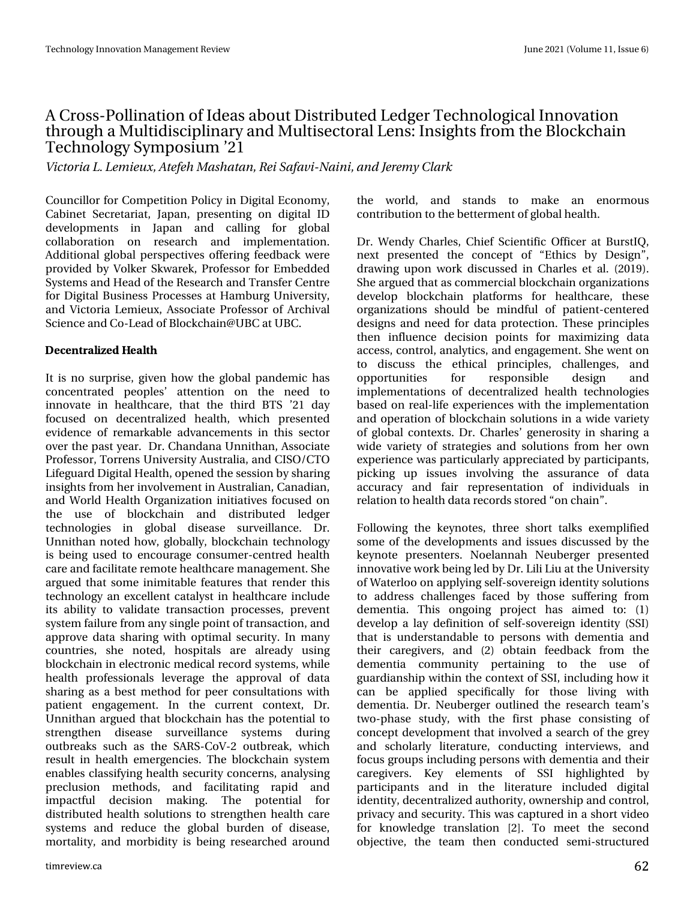### DFurw0Srodgdwlr g r i Lghdv der xwGlwwlexwhg Chgj huWhfkgrorj lfdoLggrydwlrg when x j k d P x owlglvf lsold qdd ddg P x owl whf wr udo Ohqv=Lqvlj kw iur p wkh Eor f nf kdlq Whf kqr  $\sigma$  j | V| p sr vlxp  $\bullet$ 54

Wjdupsjb M/ Min jf vy-Buf gfi N bti bubo-Sfj Tbgbwj. Objoj-boe Kf sfin z Drbsl

Fr xqf loor uir uFr p shwlwlr q Sr olf | lq Glj lwdoHf r qr p | / Fdelghw Vhf uhwduldw/ Mdsdq/ suhvhqwlqj r q glj lwdo LG ghyhorsp hqwr lq Mdsdq dqg fdodqj iru joredo f r ooder udwlr q r q uhvhduf k dqg lp sohp hqwdwlr q1 Dgglwlr qdoj or edoshuvshf wlyhv riihulqj ihhgedf n z huh sur yighg e| Yr onhu Vnz duhn/ Sur ihvvr u ir u Hp ehgghg V| vwhp vdqg Khdg r i wkh Uhvhduf k dqg WudqvihuFhqwuh ir u Glj lwdoExvlqhvv Sur f hvvhv dwKdp exuj Xqlyhuvlw| / dqg Ylf wr uld Ohp lhx{/ Dvvr f ldwh Sur ihvvr u r i Duf klydo Vf lhqf hdqg Fr 0Ohdg r i Eor f nf kdlqCXEF dwXEF1

' %053#.<del>+</del>;' & '#.5\*

Lwlv qr vxusulvh/ j lyhq kr z wkh j or edosdqghp lf kdv frqfhqwudwhg shrsohv• dwwhqwlrq rq wkh qhhg wr lqqr ydwh lq khdowkf duh/ wkdw wkh wklug EWV •54 gd| ir f xvhg r q ghf hqwudol}hg khdowk/ z klf k suhvhqwhg hylghqfh ri uhp dunded dgydqfhp hqw lq wklv vhfwru r yhuwkh sdvw| hdu1 Gu1Fkdqgdqd Xqqlwkdq/ Dvvr f ldwh Sur ihvvr u/ Wr uuhqv X qlyhuvlyl Dxvwuddd/ dqg FLVR2FWR Olihj xdug Glj lwdoKhdowk/ r shqhg wkhvhvvlr q e| vkdulqj lqvlj kwv iur p khulqyr oyhp hqwlq Dxvwudoldq/ Fdqdgldq/ dqg Z r ung Khdowk Rujdql}dwlrq lqlwldwlyhv ir f xvhg r q wkh xvh ri eorfnfkdlq dqg glwwulexwhg ohgihu whf kqr or j lhv lq j or edo glvhdvh vxuyhloodqf h1 Gu1  $X$ qqlwkdq qrwhg krz/joredoo|/eorfnfkdlq whfkqrorj| lv ehlqj xvhg wr hqfr xudjh fr qvxp hu0f hqwuhg khdowk f duh dqg idf lolwdwhuhp r whkhdowkf duhp dqdj hp hqw1Vkh duj xhg wkdwvr p h lqlp lwdeoh ihdwxuhv wkdwuhqghu wklv whif kqror j| dq h{f hoohqwf dwdd, wlq khdowkf duh lqf oxgh lw delolw| wr ydolgdwh wudqvdfwlrq sur f hwhv/ suhyhqw v| vwhp idloxuhiur p dq| vlqj ohsr lqwr i wudqvdf wlr q/ dqg dssur yh gdwd vkdulqj z lwk r swlp dovhf xulw| 1Lq p dq| f r xqwulhv/ vkh qr whg/ kr vslwdov duh douhdg| xvlqj eor f nf kdlq lq hohf wur qlf p hglf douhf r ug v| vwhp v/ z kloh khdowk surih wir qdov ohyhudih wich dssurydo ri gdwd vkdulqj dv d ehvwp hwkrg ir u shhu frqvxowdwlr qvzlwk sdwhqw hqj dj hp hqw1 Lq wkh fxuuhqw fr qwh{w/ Gu1 Xqqlwkdq duj xhg wkdweor f nf kdlq kdv wkh sr whqwldowr vwuhqj wkhq glvhdvh vxuyhloodqf h v| vwhp v gxulqj r xweuhdnv vxf k dv wkh VDUV0Fr Y05 r xweuhdn/ z klf k uhvxowlq khdowk hp huj hqf lhv1 Wkh eor f nf kdlq v| vwhp hqdedhv fodvvlillqi khdowk vhf xulw| frqf huqv/ dqdd vlqj suhfoxvlrq phwkrgv/dqg idflolwdwlqj udslg dqg lp sdf wixo ghf lvlr q p dnlqj 1 Wkh sr whqwldo ir u glvwulexwhg khdowk vr oxwlr qv wr vwuhqj wkhq khdowk f duh v| whp v dqg uhgxfh wkh joredo exughq riglyhdvh/ p r uwdolw|/ dqg p r uelglw| lv ehlqj uhvhduf khg dur xqg

wkh z r uog/ dqg vwdqgv wr p dnh dq hqr up r xv f r qwulexwlr q wr wkhehwhup hqwr i j or edokhdowk1

Gu1 Z hqg Fkduohv/ Fklhi Vflhqwilf Riilf hu dw ExuwLT/ qh{w suhvhqwhg wkh frqfhsw ri —Hwklfv e| Ghvljq—/ gudz lqj xsrq z run glvf xvvhg lq Fkduohv hwdo1 +534<,1 Vkh duj xhg wkdwdv f r p p huf ldoeor f nf kdlq r uj dql}dwlr qv ghyhor s eor f nf kdlq sodwir up v ir u khdowkf duh/ wkhvh r uj dql}dwlr qv vkr xog eh p lqgixo r i sdwlhqw0f hqwhuhg ghvljqv dqg qhhg ir u gdwd sur whfwlr q1Wkhvh sulqflsohv wkhq lqioxhqf h ghf lvlr q sr lqwv ir u p d{lp l}lqj gdwd df f hvv/ f r qwur o/ dqdo| wlf v/ dqg hqj dj hp hqw1Vkh z hqwr q wr glvf xvv wkh hwklf do sulqf lsohv/ f kdoohqj hv/ dqg rssruwxqlwlhv iru uhvsrqvledh ghvljq dqg lp sohp hqwdwlr qv r i ghf hqwudol}hg khdowk whf kqr or j lhv edvhg r q uhdo0dih h{shulhqfhv z lwk wkh lp sohp hqwdwlr q dqg r shudwlr q r i eor f nf kdlq vroxwlr qv lq d z lgh ydulhw| r i j or edof r qwh{ wv1Gu1Fkduohv• j hqhur vlw| lq vkdulqj d z lgh ydulhw| r i vwudwhj lhv dqg vr oxwlr qv iur p khu r z q h{shulhqfhzdv sduwlfxoduo| dssuhfldwhg e| sduwlflsdqwv/ slfnlqj xs lwxhv lqyroylqj wkh dvvxudqfh ri gdwd dff xudf | dqg idlu uhsuhvhqwdwlrq ri lqglylgxdov lq uhodwlr q wr khdowk gdwd uhfrugv wwr uhg  $-$ r q f kdlq $-$ 1

I r oor z lqj wkh nh| qr whv/ wkuhh vkr uw wdonv h{hp solilhg vr p h r i wkh ghyhor sp hqwv dqg lvvxhv glvf xvvhg e| wkh nh| qr wh suhvhqwhuv1 Qr hodqqdk Qhxehuj hu suhvhqwhg lqqr ydwlyhz r un ehlqj ohg e| Gu1Olol Olx dwwkh Xqlyhuvlw| r i Z dwhuor r r q dsso| lqj vhoi0vr yhuhlj q lghqwlw| vr oxwlr qv wr dgguhvv f kdoohqj hv idf hg e| wkr vh vxiihulqj iur p ghp hqwld1 Wklv rqjrlqj surmhfw kdv dlp hg wr  $=$  +4, ghyhors d od| ghilqlwlrq ri vhoi0vryhuhljq lghqwlw| +VVL, wkdwlv xqghuvwdqgdeoh wr shuvr qv z lwk ghp hqwld dqg wkhlu f duhj lyhuv/ dqg +5, r ewdlq ihhgedf n iur p wkh ghp hqwld frp p xqlw| shuwdlqlqj wr wkh xvh ri j xdugldqvkls z lwklq wkh f r qwh{ wr i VVL/ lqf oxglqj kr z lw f dq eh dssolhg vshf lilf doo| ir u wkr vh olylqj z lwk ghp hqwld1 Gu1 Qhxehuj hu r xwolqhg wkh uhvhduf k whdp •v wz r 0skdvh vwxg| / z lwk wkh iluvw skdvh f r qvlvwlqj r i f r qf hswghyhor sp hqwwkdwlqyr oyhg d vhduf k r i wkh j uh| dqg vf kr oduo| olwhudwxuh/ f r qgxf wlqj lqwhuylhz v/ dqg ir f xv j ur xsv lqf oxglqj shuvr qv z lwk ghp hqwld dqg wkhlu f duhj lyhuv1 Nh| hohp hqwv r i VVL klj kolj kwhg e| sduwlf lsdqwv dqg lq wkh olwhudwxuh lqf oxghg glj lwdo lghqwlw| / ghf hqwudol}hg dxwkrulw| / rz qhuvkls dqg fr qwur o/ sulydf | dqg vhf xulw| 1Wklv z dv f dswxuhg lq d vkr uwylghr iru nqrzohgjh wudqvodwlrq ^5`1 Wr p hhw wkh vhfrqg r emhf wlyh/ wkh whdp wkhq f r qgxf whg vhp l0vwuxf wxuhg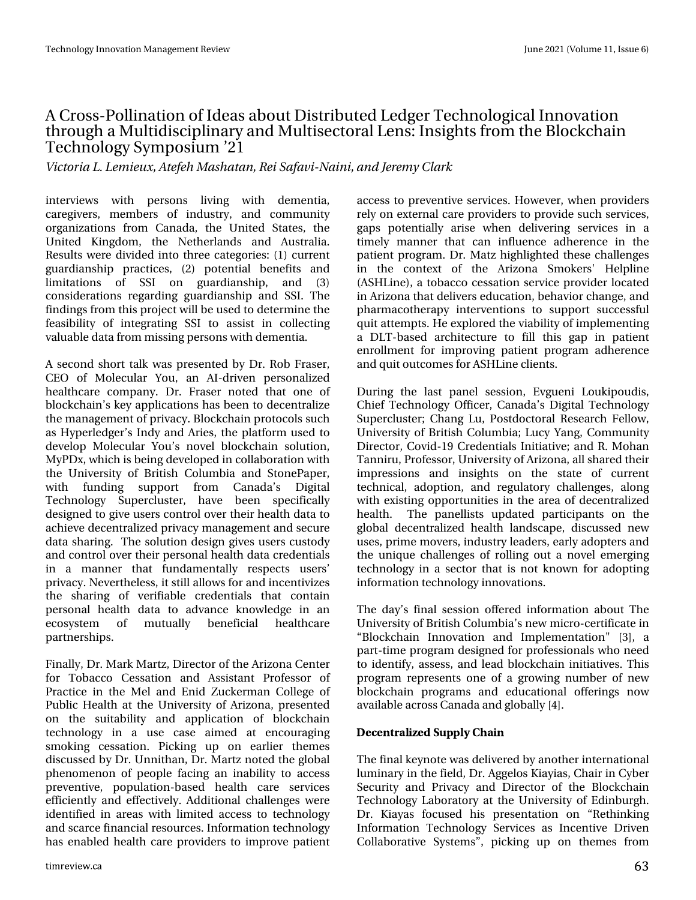### DFurwGrodgdwlr q r i Lghdv der xwGlvwulexwhg Chgi huWhfkgror j lfdoLggrydwlr q when x j k d P x owlglvf lsold qdd ddg P x owl whf wr udo Ohqv=Lqvlj kw iur p wkh Eor f nf kdlq Whf kqr  $\sigma$  j | V| p sr vlxp  $\bullet$ 54

Widupsib M/ Min jf vy-Buf gfi N bti bubo-Sf j Tbgbwj. Objoj-boe Kf sfin z Drbsl

lqwhuylhz v z lwk shuvr qv olylqj z lwk ghp hqwld/ f duhj lyhuv/ p hp ehuv ri lqgxvwul/ dqg frp p xqlw r uj dql}dwlr qv iur p Fdqdgd/ wkh Xqlwhg Vwdwhv/ wkh Xqlwhg Nlqj gr p / wkh Qhwkhuodqgv dqg Dxvwudold1 Uhvxow z huh glylghg lqw wkuhh f dwhj r ulhv= $+4$ , f xuuhqw j xdugldqvkls sudfwlf hv/ +5, sr whqwldo ehqhilw dqg dp lwdwlr qv ri VVL rq jxdugldqvkls/ dqg +6, f r qvlghudwlr qv uhj duglqj j xdugldqvkls dqg VVL1 Wkh ilqglqj v iur p wklv sur mhf wz looeh xvhg wr ghwhup lqh wkh ihdvlelolw| ri lqwhjudwlqj VVL wr dvvlvw lq froohfwlqj ydoxdeoh gdwdiur p p lwlqj shuvr qv z lwk ghp hqwld1

D vhf r qg vkr uwwdon z dv suhvhqwhg e| Gu1Ur e I udvhu/ FHR ri P r ohf x odu \ r x / dq DL0gulyhq shuvrqdol}hg khdowkf duh f r p sdq| 1 Gu1 I udvhu qr whg wkdw r qh r i eor f nf kdlq•v nh| dssolf dwlr qv kdv ehhq wr ghf hqwudol}h wkh p dqdj hp hqwr i sulydf | 1Eor f nf kdlq sur wr f r ov vxf k dv K| shuohgj hu•v Lqg| dqg Dulhv/ wkh sodwir up xvhg wr ghyhor s P r ohf xodu \ r x•v qr yho eor f nf kdlq vr oxwlr q/ P | SG{/z klfk lvehlqjghyhor shg lq frooder udwir q z lwk wkh Xqlyhuvlw| ri Eulwhuk Fr oxp eld dqg Vwr qhSdshu/ z lwk ixqglqj vxssr uw iurp Fdqdgd•v Glj lwdo Whf kqr  $\sigma$  j | Vxshuf oxvohu/ kdyh ehhq vshflilfdool ghvlj qhg wr j lyh xvhuv f r qwur or yhuwkhlukhdowk gdwd wr df klhyh ghf hqwudol}hg sulydf | p dqdj hp hqwdqg vhf xuh gdwd vkdulqj 1 Wkh vr oxwlr q ghvlj q j lyhv xvhuv f xvwr g| dqg fr qwur or yhu wkhlushuvr qdokhdowk gdwd fuhghqwldov lq d p dqqhu wkdw ixqgdp hqwdoo| uhvshf w xvhuv• sulydf | 1Qhyhuukhdow/ lwww.org z v ir udqq lqf hqwlyl}hv wkh vkdulqj ri yhulildedh fuhghqwldov wkdw frqwdlq shuvr qdo khdowk gdwd wr dgydqfh nqrz ohgjh lq dq hfrv| whp ri p xwxdoo| ehqhilfldo khdowkfduh sduwqhuvklsv1

I lqdoo| / Gu1P dun P duw| / Gluhf wr ur i wkh Dul}r qd Fhqwhu iru Wredffr Fhwdwirg dqg Dwlwdqw Surihwru ri Sudf wifh lq wikh P ho dqg Hqlg ] xfnhup dq Froohjh ri Sxedf Khdowk dwwkh Xqlyhuvlw ri Dul}r qd/ suhvhqwhg rq wkh vxlwdeldw| dqg dssolfdwlrq ri eorfnfkdlq whf kqror j| lq d xvh f dvh dlp hg dw hqfr xudjlqj vp r nlqj f hvvdwlr q1 Slf nlqj xs r q hduolhu wkhp hv glvf xvvhg e| Gu1Xqqlwkdq/ Gu1P duw} qr whg wkh j or edo skhqrp hqrq ri shrsoh idflqj dq lqdelolw| wr dff hvv suhyhqwlyh/ sr sxodwlr q0edvhg khdowk f duh vhuylf hv hiilf lhqwo| dqg hiihf wlyho| 1 Dgglwlr qdof kdoohqj hv z huh lghqwilhg lq duhdv z lwk olp lwhg df f hw wr whf kqr  $\sigma$  j | dqg vf duf h ilqdqf ldouhvr xuf hv1Lqir up dwlr q whf kqr or j | kdv hqdedhg khdowk f duh sur ylghuv wr lp sur yh sdwhqw df f hvv wr suhyhqwlyh vhuylf hv1Kr z hyhu/ z khq sur ylghuv uho| r q h{ whuqdof duh sur ylghuv wr sur ylgh vxf k vhuylf hv/ j dsv sr whqwldoo| dulvh z khq gholyhulqj vhuylf hv lq d wlp ho| p dqqhu wkdw f dq lqioxhqf h dgkhuhqf h lq wkh sdwhqwsur judp 1 Gu1P dw) kljkoljkwhg wkhvh fkdoohqjhv lq wkh f r qwh{ w r i wkh Dul}r qd Vp r nhuv\* Khosolqh +DVKOlqh,/ d wr edf f r f hvvdwlr q vhuylf h sur ylghuor f dwhg lq Dul}r qd wkdwghdyhuv hgxf dwlr q/ ehkdylr uf kdqj h/dqg skdup df r wkhuds| lqwhuyhqwlr qv wr vxssr uw vxf f hvvixo t xlwdwwhp swv1Kh h{soruhg wkh yldelolw| rilp sohp hqwlqj d GOW0edvhg duf klwhf wxuh wr iloo wklv j ds lq sdwlhqw hqur oop hqw ir u lp sur ylqj sdwlhqw sur j udp dgkhuhqf h dqg t xlwr xwfr p hv ir uDVK Olgh f dhqwr1

Gxulqj wkh odvw sdqho vhvvlr q/ Hyj xhql Or xnlsr xglv/ Fklhi Whf kqr  $\sigma$  j | Riilf hu/ Fdqdgd•v Glj lwdo Whf kqr  $\sigma$  j | Vxshufox whu>Fkdqj Ox/Sr wgrfwr udo Uhvhdufk Ihoorz/ Xqlyhuvlw| ri Eulwluk Fr oxp eld>Oxf| \dqj / Fr p p xqlw| Gluhf wr u/ Fr ylg04< Fuhghqwldov Lqlwldwlyh>dqg U1P r kdq Wdqqlux/ Surihvvru/ Xqlyhuvlw| ri Dul}r qd/ doovkduhg wkhlu lp suhvvlr qv dqg lqvlj kwv r q wkh vwdwh r i f xuuhqw whf kqlf do/ dgr swlr q/ dqg uhj xodwr u| f kdoohqj hv/ dor qj z lwk h{lvwlqj r ssr uwxqlwlhv lq wkh duhd r i ghf hqwudol}hg khdowk1 Wkh sdqhoolvwv xsgdwhg sduwlf lsdqwv r q wkh j or edo ghf hqwudol}hg khdowk odqgvf dsh/ glvf xvvhg qhz xvhv/sulphpryhuv/lqgxvwu| ohdghuv/hduo| dgrswhuvdqg wkh xqlt xh f kdoohqjhv ri uroolqjrxwd qryho hp hujlqj whf kqr or j | lq d vhf wr u wkdwlv qr wnqr z q ir u dgr swlqj lqir up dwlr q whf kqr or j | lqqr ydwlr qv1

Wikh gd| •v ilqdovhvvlrq riihuhg lqirup dwlrq derxwWikh Xqlyhuvlw| ri Eulwick Froxp eld•vqhz p lf ur 0f huwlilf dwh lq –Eor f nf kdlq Lqqr ydwlr q dqg Lp sohp hqwdwlr q% ^6`/ d sduw0wlph surjudpghvljqhg iru surih vvlrqdov zkrqhhg wr lghqwil/dwhw/dqg ohdg eor f nf kdlq lqlwdwlyhv1Wklv sur j udp uhsuhvhqwv r qh r i d j ur z lqj qxp ehu r i qhz eor fnfkdlq surjudp v dqg hgxfdwlrqdo riihulqjv qrz dydlodeoh dfur vv Fdqdgd dqg jor edoo| ^7`1

' %053#.+;' & 622.: \*#+0

Wikh ilqdonh| qr wh z dv gholyhuhg e| dqr wkhulqwhuqdwlr qdo oxp lqdu| lq wkh ilhog/ Gu1Dj j hor v Nld| ldv/ Fkdlulq F| ehu Vhf xulw| dqg Sulydf| dqg Gluhf wr u r i wkh Eor f nf kdlq Whfkqrorj| Oderudwru| dwwkh Xqlyhuvlw| ri Hglqexujk1 Gu1 Nld| dv ir f xvhg klv suhvhqwdwlr q r q –Uhwklqnlqj Lqirup dwlrq Whfkqrorj| Vhuylfhv dv Lqfhqwlyh Gulyhq Frooderudwlyh V| whp v $\neq$  slfnlqj xs rq wkhp hv iurp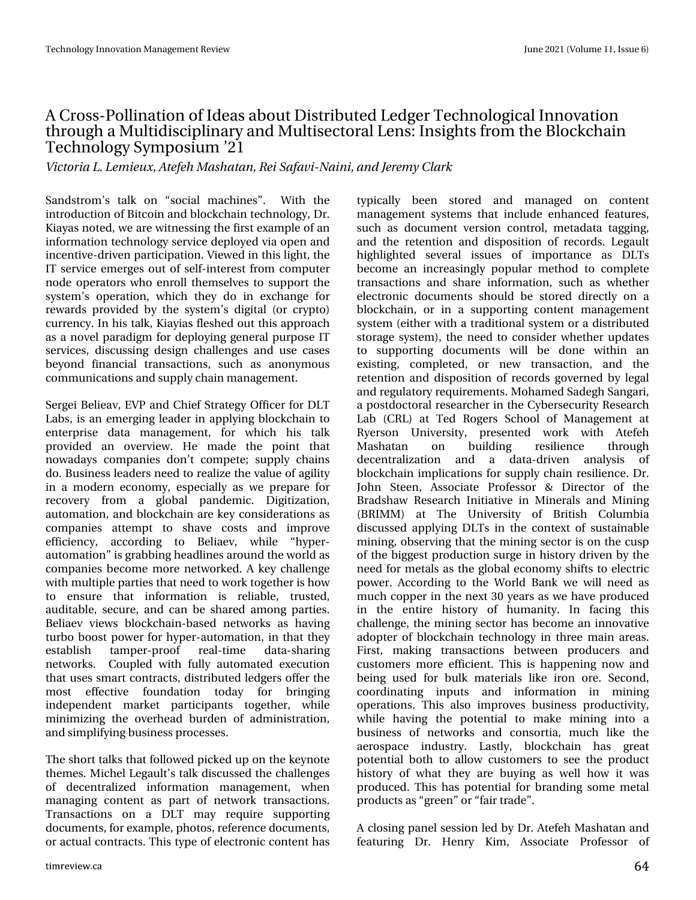### DFurwGSrodgdwlrg rilghdvderxwGlwwlexwhg ChgihuWhfkgrorilfdolggrydwlrg wkurxjkdPxowlglvflsoloiduldggPxowlvhfwrudoOngv=LqvljkwriurpwkhEorfnfkdlg Whikqrorj |  $\forall$  p srvlxp  $\bullet$ 54

Widpsjb MM njfvy-Bufgfi Nbtibubo-Sfj Tbgbwj. Objoj-boe Kfsfn z Drbsl

Vdggwurp •v volon rg —vrfldo pdfklghv—1 Zlvk wkh lqwurgxfwlrg ri Elwfrlgdggeorfnfkdlgwhfkgrorj|/Gu1 Nid dv grwhg/zh duh z lwghwlgi wkhiluwwh {dp soh ridg lqirup dwirq whfkqrorj vhuylfhghsor | hgyld rshq dqg lqf hqwlyhQgulyhq sduwlf Isdwlrq1Ylhz hg lq wklv olj kw/wkh LW vhuylfh hp hujhv rxwri vhoid qwhuh w iurp frp sxwhu grgh rshudwruw z krhoguroowkhp vhoyh v w vxssruw wkh v|whp • rshudwtrq/zklfk wkh| gr lq h{fkdqjh iru uhz dugv sur yighg e| wkh v| whp • v gij iwdo + ru fu| swr, fxuuhqf|1Lq klv volon/Nid|ldv idnvkhq rxwwklv dssurdfk dvd qryhosdudgljp ir u ghsor|lqj jhqhudosxusrvh LW vhuylf hv/ glvf xvvlqj ghvljq fkdochqj hv dqg xvh fdvhv eh|rgg ilgdgfldo wudgvdfwlrgv/ vxfk dv dgrg|prxv frp p xqlfdwr gydgg vxssol fkdlg p dgdj hp hgwl

Vhuj hl Ehdhdy/ HYS dqg Fklhi Vwdwhj | Riilf hu ir u GOW Odev/lv dq hp hujlqj ohdghulq dssollqj eor fnfkdlq wr hqwhusulvh gdwd pdqdjhphqw/iru zklfk klv wdon surylghg dg ryhuylhz 1 Kh pdgh wich srlgw widw qrzdgd|v frp sdqlhv grq wfrp shwh> vxssq fkdlqv gr 1 Exvlqhw ohdghw qhhg w uhdol}h wkh ydoxh ridjlolw| lq d p r ghuq hf r q r p | / hvshfldool dv z h suhsduh ir u uhfryhu| iurp d joredo sdqghplf1 Gljlwl}dwlrq/ dxwrpdwrg/dggeorfnfkdlgduhnh|frgvlghudwrgvdv frpsdqlhv dwhpsw wr vkdyh frwwr dqg Ipsuryh hiilflhqf|/ dffruglqj wr Eholdhy/ zkloh -k|shu0 dxwrpdwlrq—lvjudeelqjkhdgolqhvdurxqgwkhzruogdv frp sdqlhvehfrphpruhqhwzrunhg1Dnh|fkdoohqjh z lwk p xowlsoh sduwth wkdwghhg wr z r un wrjh wkhul v k r z wr hqw.uh wkdw lgirupdwlrg lv uholdeoh/wuxwolg/ dxglwdedn/vhfxuh/dqgfdqeh vkduhgdprqjsduwlhv1 Ehddhy ylhz v eorfnfkdlq Oedvhg qhvzrun v dv kdylqj wxuer errwwsrzhu iru k|shu0dxwrpdwlrq/lqwkdwwkh| hvvdedvk wdpshu0surri uhdo Wp h gdwd0vkdulqj ghwzrunv1 Frxsohg zlwk ixool dxwrpdwhgh{hfxwlrq wkdwx vhv vp duwfr qwdfwl/glwulexwhg ohgihuv riihu wkh prww hiihfwlyh irxqgdwlrq wrgd| iru eulqjlqj lqghshqghqw p dunhw sduwfisdqw w jhwkhu'z kloh plqlpl}lqj wkh ryhukhdg exughq ridgplqlwudwlrq/ dag vlp sdillaj exvlahv sur f hvvhv1

With vkruwwdon v wkdwiroorzh g slfnhg x srq wkh nh|qrwh wkhp hv1P If kho Chid xow wdongly fx what with fkdoongihv ri ghfhqwudol}hg lqirup dwirq pdqdjhphqw/zkhq p dqdjlqj frqwhqwdv sduwri qhwzrun wudqvdfwlrqv1 Wudqvdfwlrqv rq d GOW pd| uhtxluh vxssruwlqi grfxphqw/iruh{dpsdn/skrwrv/uhihuhqfhgrfxphqw/ rudfwxdofrqwudfwr1Wklvw|shrihdnfwurqlffrqwhqwkdv

w|slfdoo| ehhq woruhg dqg pdqdjhg rq frqwhqw p dadjhp hawylwhp v wkdwlafoxah hakdafha ihdwsuhy/ vxfk dv grfxphqwyhuvlrg frgwurd phwdgdwd wdjilgi/ dqg wikh uhwhqwlrq dqg glvsrvlwlrq ri uhfrugv1 Chjdxow kljkoljkwhg vhyhudo lvvxhv ri Ipsruwdqfh dv GOWV ehfrph dq lqfuhdvlqjql srsxodu phwkrg wr frpsohwh wudqvdfwlrqv dqg vkduh lqirup dwlrq/vxfk dvzkhwkhu hohfwurglf grfxphgwy vkrxog eh wwruhg gluhfwo| rg d eorfnfkdlq/rulqd vxssruwlqjfrqwhqwpdqdjhphqw v|whp +hlwkhuzlwkdwudglwlrqdov|whp rudglwwlexwhg www.udjhv|whp,/wkhqhhgwrfrqvlghuzkhwkhuxsgdwhv wr vxssruwlqj grfxphqwr zloo eh grqh zlwklq dq h{lwwlqi/frpsohwhg/rughzwudqvdfwlrq/dqgwkh uhwhqwlrq dqg glvsrvlwlrq riuhfrugv jryhughg el ohjdo dqg uhj xodwru| uht xluhp hqwr1Prkdphg Vdghjk Vdqjdul/ d srwgrfwrudouhvhdufkhulqwkh F|ehuvhfxulw|Uhvhdufk Ode +FUQ, dw Whg Urjhuv Vfkrrori Pdqdjhphqwdw Ulhuvrg Xglyhuvlyl/ suhvhqytng zrun zlyk. Dythihk P dvk dvda r q exlogiqi uhvidhqf h wkurxjk ghfhqwudd}dwlrq dqg d gdwd0gulyhq dqdqivlv ri eorfnfkdlg Ipsolfdwirgviru vxssol fkdlg uhvlolhgfh1Gu1 Mikq Whihq/Dwrfldwh Surihwru) Gluhfwru ri wkh Eudgykdz Uhyhdufk Lglwdwyh Ig Plghudov dgg Plglgi +EULPP, dw Wkh Xqlyhuvlw| ri Eulwhuk Froxpeld glvfxvvhg dsso|lqj GOW lq wkh frqwh{wrivxwodlqdeoh plqlqj/revhuylqjwkdwwkhplqlqjvhfwrulvrqwkhfxvs riwkheljjhwwsurgxfwlrqvxujhlqklwwru|gulyhqe|wkh qhhg iruphwdov dv wkh joredohfrqrp | vkliw wr hohfwulf srzhu1Dffruglqj wrwkh Zruog Edqn zh zloo qhhg dv pxfkfrsshulqwkhqh{w63|hduvdvzhkdyhsurgxfhq lq wkh hqwluh klwwru| ri kxpdqlw|1 Lq idflqj wklv fkdochqjh/wkhplqlqjvhfwrukdvehfrphdqlqqrydwlyh dgrswhu rieorfnfk dlq whfkqrorj| lq wkuhh pdlq duhdv1 Iluww/pdnlqj wudqvdfwlrqvehwzhhq surgxfhuvdqg fxwrphw pruh hiilflhqwl Wklvlv kdsshqlqjqrz dqg ehlgj xvhg iru exon pdwhuldov olnh lurg ruh 1 Vhfrgg/ frruglqdwlqj lqsxwv dqg lqirupdwlrq lq plqlqj rshudwirqv1 Wklv dowr Ipsuryhv exvlqhvv surgxfwlylwy/ zkloh kdylqj wkh srwhqwldo wr pdnh plqlqj lqwr d exvlqhw ri qhwzrunv dqg frqvruwld/pxfk olnh wkh dhurvsdfh lqgxwwd,1 Odwwol/eorfnfkdlq kdv juhdw srwhqwldoerwk wr doorz fxwwrphuv wr vhh wkh surgxfw klworu| rizkdwwkh| duh ex|lqj dvzhoo krz lwzdv surgxfhg1Wklvkdvsrwhqwldoirueudqglqjvrphphwdo surgxfwrdv⊣juhhq—ru⊣dluwudgh—1

Dforvigj sdghovhvvirg ohge cul Dwhihk Pdvkdwdgdgg ihdwxulqj Gu1 Khqu| Nlp/Dvvrfldwh Surihvvru ri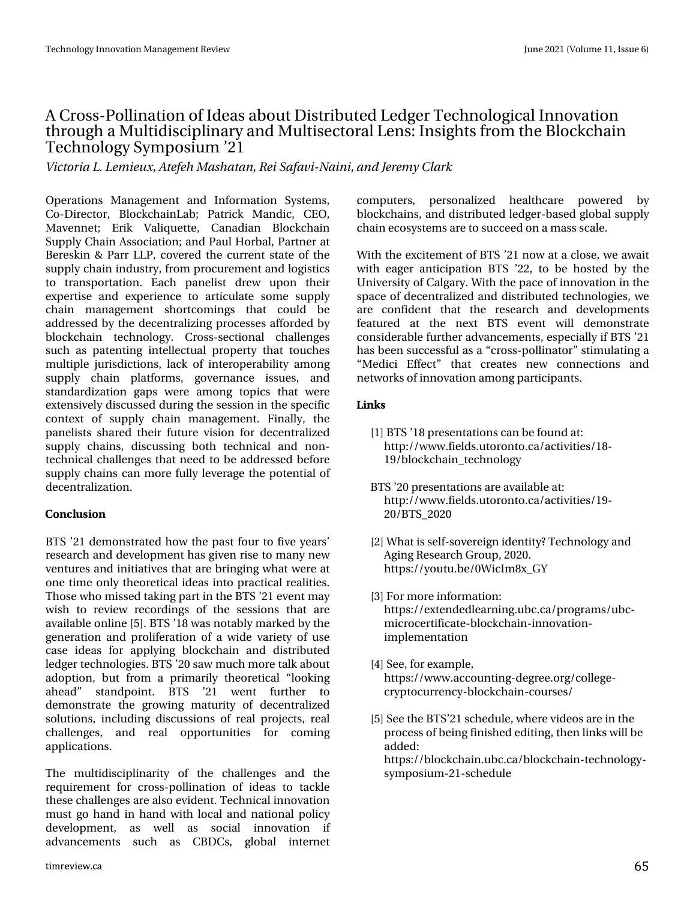### DFurwGrodgdwlr q r i Lghdv der xwGlvwulexwhg Chgi huWhfkgror j lfdoLggrydwlr q when x j k d P x owlgl vf lsol q duld dqg P x owl whf wr udo Ohqv=Lqvlj kw iur p wkh Eor f nf kdlq Whf kqr  $\sigma$  i | V| p sr vlxp  $\bullet$ 54

Wdpsib MM n jf vy-Buf gi N bti bubo-Sf j Tbgbwj. Objoj-boe Kf sf n z Drbsl

Rshudwlr qv P dqdjhp hqw dqg Lqirup dwlrq V| whp v/ Fr 0Gluhf wr u' Eor f nf kdlq Ode > Sdwulf n P dqglf / FHR/ P dyhqqhw> Huln Yddt xhwh/ Fdqdgldq Eor f nf kdla Vxsso| Fkdlq Dwr f Idwlr q>dqg SdxoKr uedo/ Sduwqhudw Ehuhvnlq ) Sduu OOS/ fryhuhg wkh fxuuhqwwdwh riwkh vxsso| f kdlq lqgxvwu| / iur p sur f xuhp hqwdqg or j lvwlf v wr wudqvsr uwdwlr q1 Hdf k sdqholvw guhz xsr q wkhlu h{ shuwlvh dqg h{ shulhqf h wr duwlf xodwh vr p h vxsso| f kdlq p dqdj hp hqw vkr uwf r p lqj v wkdw f r xog eh dgguhvvhg e| wkh ghf hqwudol}lqj sur f hvvhv diir ughg e| eor f nf kdlq whf kqror j| 1 Fur w Owhf wlr qdo f kdoohqj hv vxf k dv sdwhqwlqj lqwhoohf wxdo sur shuw| wkdwwr xf khv p xowlsoh mxulvglfwlr qv/odfn rilqwhurshudelolw| dp rqj vxsso| f kdlq sodwir up v/ j r yhuqdqf h lvvxhv/ dqg vwdqgdugl}dwlr q j dsv z huh dp r qj wr slf v wkdw z huh h{ whqvlyho| glvf xvvhg gxulqj wkh vhvvlr q lq wkh vshf lilf frqwh{wri vxsso| fkdlq p dqdjhp hqw1 Ilqdoo|/ wkh sdqholvw vkduhg wkhlu ixwsuh ylvlrq iru ghf hqwudol}hg vxsso| f kdlqv/ glvf xvvlqj er wk whf kqlf do dqg qr q0 whi kqlf dof kdoohqj hv wkdwqhhg wr eh dgguhvvhg ehir uh vxsso| f kdlqv f dq p r uh ixoo| ohyhudj h wkh sr whqwldor i ghf hqwudd}dwlr q1

#### 10%64+10

EWV •54 ghp r qvwudwhg kr z wkh sdvwir xu wr ilyh | hduv• uhvhduf k dqg ghyhor sp hqwkdv j lyhq ulvh wr p dq| qhz yhqwxuhv dqg lqlwdwlyhv wkdwduh eulqj lqj z kdwz huh dw r qh whp h r qo| wkhr uhwlf dolghdv lqwr sudf wlf douhdolwlhv1 What vhz kr p lwhg wdniqi sduwig wkh EWV •54 hyhqwp d z lvk wr uhylhz uhfruglqjv ri wkh vhvvlrqv wkdw duh dydlodeoh r qolqh ^8`1EWV•4; z dvqr wdeo| p dunhg e| wkh j hqhudwlr q dqg sur dihudwlr q ri d z lgh ydulhw| ri xvh f dvh Ighdv ir u dsso| lqj eor f nf kdlq dqg glvwulexwhg ohgj huwhf kqr or j lhv1EWV•53 vdz p xf k p r uh wdon der xw dgr swlr q/ exw iurp d sulp dulo| wkhr uhwlf do  $-\sigma$  r nlqj dkhdg— vwdqgsr lqw1 EWV •54 z hqw ixuwkhu wr ghp r qww.dwh wkh jurzlqj p dwxulw| ri ghf hqwudol}hg vr oxwlr qv/ lqf oxglqj glvf xvvlr qv r i uhdosur mhf wv/ uhdo fkdoohqjhv/ dqg uhdo rssruwxqlwlhv iru frplqj dssolf dwlr qv1

With p xowlglvflsdigdulw| ri with f kdoohqj hv dqg with uht xluhp hqw ir u f ur vv0sr oolqdwlr q r i lghdv wr wdf noh wkhvh f kdoohqj hv duh dovr hylghqw1Whf kqlf dolqqr ydwlr q p xvwj r kdqg lq kdqg z lwk or f dodqg qdwlr qdosr olf | ghyhor sp hqw/ dv z hoo dv vr f ldo lqqr ydwlr q li dgydqf hp hqwv vxfk dv FEGFv/ joredo lqwhuqhw f r p sxwhuv/ shuvr qdol}hg khdowkf duh sr z huhg e| eor f nf kdlqv/dqg glvwulexwhg ohgi hu0edvhg joredovxsso f kdlq hf r v| vwhp vduh wr vxf f hhg r q dp dvv vf doh1

Z lwk wkh h{f lwhp hqwr i EWV •54 qr z dwd f or vh/ z h dz dlw z lwk hdjhu dqwlflsdwlrq EWV •55/wr eh krwwhg e| wkh Xqlyhuvlw| r i Fdoj du| 1Z lwk wkh sdfhrilgqrydwlr q lq wkh vsdf h r i ghf hqwudol}hg dqg glvwulexwhg whf kqr or j lhv/ z h duh frqilghqw wkdw wkh uhvhdufk dqg ghyhorsphqwv ihdwxuhg dw wkh qh{w EWV hyhqw z loo ghp r qwwudwh fr qvlghudedn ixuwkhudgydqf hp hqw/ hvshfldoo| li EVW •54 kdv ehhq vxff hwixodv d –fur w0sroolgdwr u—wlyp xodwlqjd –P hglf l Hiihf w— wkdw f uhdwhv qhz f r qqhf wlr qv dqg qhwz r unv r i lqqr ydwlr q dp r qj sduwlf lsdqwv1

#### $+0-4$

- ^4` EWV•4; suhvhqwdwlr qv f dq ehir xqg dw= kws $=22z$  z z 1ihogy1xwr ur qwr 1f d2df wlylwhv24; 0  $4 < 2$ eor f nf kdlqbwhf kqr or j
- EWV•53 suhvhqvdwlr qvduhdydlodeohdw= kws=22z z z 1ihogv1xwr ur qwr 1f d2df wlylwlhv24<0 532EWVb5353
- $\sqrt{5}$ ` Z kdwlv vhoi0vr yhuhlj q lghqwlw| BWhf kqr or j  $\vert$  dqg Dj lqj Uhvhduf k J ur xs/ 53531 kwsv=22| r xwx 1eh23Z lf Lp ;  $\{bJ \}$
- $\sqrt{6}$ ` I r up r uhlqir up dwlr q = kwsv=22h{whqghgohduqlqj1xef1fd2surjudpv2xef0 p lf ur f huwlilf dwh0eor f nf kdlq0lqqr ydwlr q0 lp sohp hqwdwlr q
- $\sqrt{7}$  Vhh/ ir uh{dp soh/ kwsv=22z z z 1df f r xqwlqj 0ghj uhh1r uj 2f r oohj h0 f u| swr f xuuhqf | 0eor f nf kdlq0f r xuvhv2
- ^8` Vhh wkh EWV•54vf khgxoh/ z khuhylghr vduhlq wkh sur f hw r i ehlqj ilqlvkhg hglwlqj/wkhq olqnv z looeh dgghg=
	- kwsv=22eor f nf kdlq1xef 1f d2eor f nf kdlq0whf kqr or j | 0 v| p sr vlxp 0540vf khgxoh